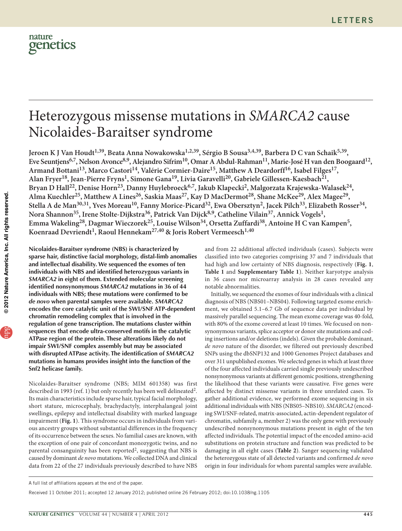# Heterozygous missense mutations in *SMARCA2* cause Nicolaides-Baraitser syndrome

Jeroen K J Van Houdt<sup>1,39</sup>, Beata Anna Nowakowska<sup>1,2,39</sup>, Sérgio B Sousa<sup>3,4,39</sup>, Barbera D C van Schaik<sup>5,39</sup>, **Eve Seuntjens6,7, Nelson Avonce8,9, Alejandro Sifrim10, Omar A Abdul-Rahman11, Marie-José H van den Boogaard12,**  Armand Bottani<sup>13</sup>, Marco Castori<sup>14</sup>, Valérie Cormier-Daire<sup>15</sup>, Matthew A Deardorff<sup>16</sup>, Isabel Filges<sup>17</sup>, Alan Fryer<sup>18</sup>, Jean-Pierre Fryns<sup>1</sup>, Simone Gana<sup>19</sup>, Livia Garavelli<sup>20</sup>, Gabriele Gillessen-Kaesbach<sup>21</sup>, Bryan D Hall<sup>22</sup>, Denise Horn<sup>23</sup>, Danny Huylebroeck<sup>6,7</sup>, Jakub Klapecki<sup>2</sup>, Malgorzata Krajewska-Walasek<sup>24</sup>, Alma Kuechler<sup>25</sup>, Matthew A Lines<sup>26</sup>, Saskia Maas<sup>27</sup>, Kay D MacDermot<sup>28</sup>, Shane McKee<sup>29</sup>, Alex Magee<sup>29</sup>, Stella A de Man<sup>30,31</sup>, Yves Moreau<sup>10</sup>, Fanny Morice-Picard<sup>32</sup>, Ewa Obersztyn<sup>2</sup>, Jacek Pilch<sup>33</sup>, Elizabeth Rosser<sup>34</sup>, Nora Shannon<sup>35</sup>, Irene Stolte-Dijkstra<sup>36</sup>, Patrick Van Dijck<sup>8,9</sup>, Catheline Vilain<sup>37</sup>, Annick Vogels<sup>1</sup>, **Emma Wakeling28, Dagmar Wieczorek25, Louise Wilson34, Orsetta Zuffardi38, Antoine H C van Kampen5, Koenraad Devriendt1, Raoul Hennekam27,40 & Joris Robert Vermeesch1,40**

**Nicolaides-Baraitser syndrome (NBS) is characterized by sparse hair, distinctive facial morphology, distal-limb anomalies and intellectual disability. We sequenced the exomes of ten individuals with NBS and identified heterozygous variants in** *SMARCA2* **in eight of them. Extended molecular screening identified nonsynonymous** *SMARCA2* **mutations in 36 of 44 individuals with NBS; these mutations were confirmed to be** *de novo* **when parental samples were available.** *SMARCA2* **encodes the core catalytic unit of the SWI/SNF ATP-dependent chromatin remodeling complex that is involved in the regulation of gene transcription. The mutations cluster within sequences that encode ultra-conserved motifs in the catalytic ATPase region of the protein. These alterations likely do not impair SWI/SNF complex assembly but may be associated with disrupted ATPase activity. The identification of** *SMARCA2* **mutations in humans provides insight into the function of the Snf2 helicase family.**

Nicolaides-Baraitser syndrome (NBS; MIM 601358) was first described in 1993 (ref. 1) but only recently has been well delineated<sup>[2](#page-4-0)</sup>. Its main characteristics include sparse hair, typical facial morphology, short stature, microcephaly, brachydactyly, interphalangeal joint swellings, epilepsy and intellectual disability with marked language impairment (**[Fig. 1](#page-1-0)**). This syndrome occurs in individuals from various ancestry groups without substantial differences in the frequency of its occurrence between the sexes. No familial cases are known, with the exception of one pair of concordant monozygotic twins, and no parental consanguinity has been reported<sup>[2](#page-4-0)</sup>, suggesting that NBS is caused by dominant *de novo* mutations. We collected DNA and clinical data from 22 of the 27 individuals previously described to have NBS

and from 22 additional affected individuals (cases). Subjects were classified into two categories comprising 37 and 7 individuals that had high and low certainty of NBS diagnosis, respectively (**[Fig. 1](#page-1-0)**, **[Table 1](#page-1-1)** and **Supplementary Table 1**). Neither karyotype analysis in 36 cases nor microarray analysis in 28 cases revealed any notable abnormalities.

Initially, we sequenced the exomes of four individuals with a clinical diagnosis of NBS (NBS01–NBS04). Following targeted exome enrichment, we obtained 5.1–6.7 Gb of sequence data per individual by massively parallel sequencing. The mean exome coverage was 40-fold, with 80% of the exome covered at least 10 times. We focused on nonsynonymous variants, splice acceptor or donor site mutations and coding insertions and/or deletions (indels). Given the probable dominant, *de novo* nature of the disorder, we filtered out previously described SNPs using the dbSNP132 and 1000 Genomes Project databases and over 311 unpublished exomes. We selected genes in which at least three of the four affected individuals carried single previously undescribed nonsynonymous variants at different genomic positions, strengthening the likelihood that these variants were causative. Five genes were affected by distinct missense variants in three unrelated cases. To gather additional evidence, we performed exome sequencing in six additional individuals with NBS (NBS05–NBS10). *SMARCA2* (encoding SWI/SNF-related, matrix-associated, actin-dependent regulator of chromatin, subfamily a, member 2) was the only gene with previously undescribed nonsynonymous mutations present in eight of the ten affected individuals. The potential impact of the encoded amino-acid substitutions on protein structure and function was predicted to be damaging in all eight cases (**[Table 2](#page-2-0)**). Sanger sequencing validated the heterozygous state of all detected variants and confirmed *de novo* origin in four individuals for whom parental samples were available.

Received 11 October 2011; accepted 12 January 2012; published online 26 February 2012; [doi:10.1038/ng.1105](http://www.nature.com/doifinder/10.1038/ng.1105)

A full list of affiliations appears at the end of the paper.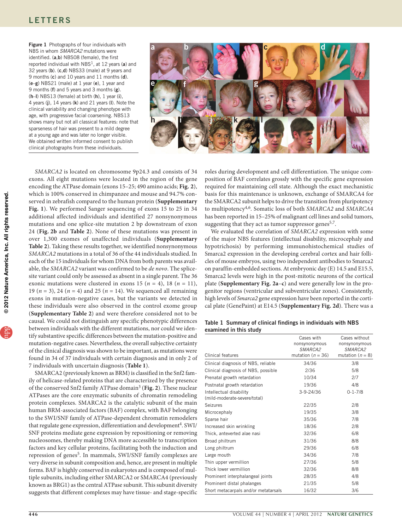## **LETTERS**

<span id="page-1-0"></span>Figure 1 Photographs of four individuals with NBS in whom *SMARCA2* mutations were identified. (a,b) NBS08 (female), the first reported individual with  $NBS<sup>1</sup>$ , at 12 years (a) and 32 years (b). (c,d) NBS33 (male) at 9 years and 9 months (c) and 10 years and 11 months (d). (e–g) NBS21 (male) at 1 year (e), 1 year and 9 months (f) and 5 years and 3 months (g). (h–l) NBS13 (female) at birth (h), 1 year (i), 4 years (j), 14 years (k) and 21 years (l). Note the clinical variability and changing phenotype with age, with progressive facial coarsening. NBS13 shows many but not all classical features: note that sparseness of hair was present to a mild degree at a young age and was later no longer visible. We obtained written informed consent to publish clinical photographs from these individuals.



*SMARCA2* is located on chromosome 9p24.3 and consists of 34 exons. All eight mutations were located in the region of the gene encoding the ATPase domain (exons 15–25; 490 amino acids; **[Fig.](#page-3-0) 2**), which is 100% conserved in chimpanzee and mouse and 94.7% conserved in zebrafish compared to the human protein (**Supplementary Fig. 1**). We performed Sanger sequencing of exons 15 to 25 in 34 additional affected individuals and identified 27 nonsynonymous mutations and one splice-site mutation 2 bp downstream of exon 24 (**[Fig.](#page-3-0) 2b** and **[Table 2](#page-2-0)**). None of these mutations was present in over 1,300 exomes of unaffected individuals (**Supplementary Table 2**). Taking these results together, we identified nonsynonymous *SMARCA2* mutations in a total of 36 of the 44 individuals studied. In each of the 15 individuals for whom DNA from both parents was available, the *SMARCA2* variant was confirmed to be *de novo*. The splicesite variant could only be assessed as absent in a single parent. The 36 exonic mutations were clustered in exons 15 ( $n = 4$ ), 18 ( $n = 11$ ), 19 (*n* = 3), 24 (*n* = 4) and 25 (*n* = 14). We sequenced all remaining exons in mutation-negative cases, but the variants we detected in these individuals were also observed in the control exome group (**Supplementary Table 2**) and were therefore considered not to be causal. We could not distinguish any specific phenotypic differences between individuals with the different mutations, nor could we identify substantive specific differences between the mutation-positive and mutation-negative cases. Nevertheless, the overall subjective certainty of the clinical diagnosis was shown to be important, as mutations were found in 34 of 37 individuals with certain diagnosis and in only 2 of 7 individuals with uncertain diagnosis (**[Table 1](#page-1-1)**).

SMARCA2 (previously known as BRM) is classified in the Snf2 family of helicase-related proteins that are characterized by the presence of the conserved Snf2 family ATPase domain<sup>3</sup> ([Fig. 2](#page-3-0)). These nuclear ATPases are the core enzymatic subunits of chromatin remodeling protein complexes. SMARCA2 is the catalytic subunit of the main human BRM-associated factors (BAF) complex, with BAF belonging to the SWI/SNF family of ATPase-dependent chromatin remodelers that regulate gene expression, differentiation and development<sup>4</sup>. SWI/ SNF proteins mediate gene expression by repositioning or removing nucleosomes, thereby making DNA more accessible to transcription factors and key cellular proteins, facilitating both the induction and repression of genes<sup>5</sup>. In mammals, SWI/SNF family complexes are very diverse in subunit composition and, hence, are present in multiple forms. BAF is highly conserved in eukaryotes and is composed of multiple subunits, including either SMARCA2 or SMARCA4 (previously known as BRG1) as the central ATPase subunit. This subunit diversity suggests that different complexes may have tissue- and stage-specific

roles during development and cell differentiation. The unique composition of BAF correlates grossly with the specific gene expression required for maintaining cell state. Although the exact mechanistic basis for this maintenance is unknown, exchange of SMARCA4 for the SMARCA2 subunit helps to drive the transition from pluripotency to multipotency[4,](#page-4-2)[6](#page-4-4). Somatic loss of both *SMARCA2* and *SMARCA*4 has been reported in 15–25% of malignant cell lines and solid tumors, suggesting that they act as tumor suppressor genes<sup>[5,](#page-4-3)7</sup>.

We evaluated the correlation of *SMARCA2* expression with some of the major NBS features (intellectual disability, microcephaly and hypotrichosis) by performing immunohistochemical studies of Smarca2 expression in the developing cerebral cortex and hair follicles of mouse embryos, using two independent antibodies to Smarca2 on paraffin-embedded sections. At embryonic day (E) 14.5 and E15.5, Smarca2 levels were high in the post-mitotic neurons of the cortical plate (**Supplementary Fig. 2a**–**c**) and were generally low in the progenitor regions (ventricular and subventricular zones). Consistently, high levels of *Smarca2* gene expression have been reported in the cortical plate (GenePaint) at E14.5 (**Supplementary Fig. 2d**). There was a

## <span id="page-1-1"></span>Table 1 Summary of clinical findings in individuals with NBS examined in this study

|                                      | Cases with               | Cases without                        |
|--------------------------------------|--------------------------|--------------------------------------|
|                                      | nonsynonymous<br>SMARCA2 | nonsynonymous<br>SMARCA <sub>2</sub> |
| <b>Clinical features</b>             | mutation ( $n = 36$ )    | mutation ( $n = 8$ )                 |
| Clinical diagnosis of NBS, reliable  | 34/36                    | 3/8                                  |
| Clinical diagnosis of NBS, possible  | 2/36                     | 5/8                                  |
| Prenatal growth retardation          | 10/34                    | 2/7                                  |
| Postnatal growth retardation         | 19/36                    | 4/8                                  |
| Intellectual disability              | $3 - 9 - 24/36$          | $0 - 1 - 7/8$                        |
| (mild-moderate-severe/total)         |                          |                                      |
| Seizures                             | 22/35                    | 2/8                                  |
| Microcephaly                         | 19/35                    | 3/8                                  |
| Sparse hair                          | 35/36                    | 7/8                                  |
| Increased skin wrinkling             | 18/36                    | 2/8                                  |
| Thick, anteverted alae nasi          | 32/36                    | 6/8                                  |
| Broad philtrum                       | 31/36                    | 8/8                                  |
| Long philtrum                        | 29/36                    | 6/8                                  |
| Large mouth                          | 34/36                    | 7/8                                  |
| Thin upper vermillion                | 27/36                    | 5/8                                  |
| Thick lower vermillion               | 32/36                    | 8/8                                  |
| Prominent interphalangeal joints     | 28/35                    | 4/8                                  |
| Prominent distal phalanges           | 21/35                    | 5/8                                  |
| Short metacarpals and/or metatarsals | 16/32                    | 3/6                                  |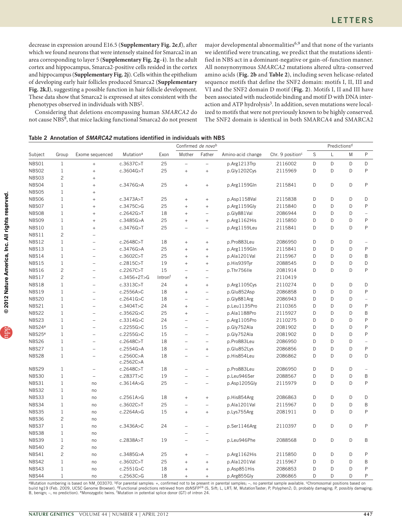decrease in expression around E16.5 (**Supplementary Fig. 2e**,**f**), after which we found neurons that were intensely stained for Smarca2 in an area corresponding to layer 5 (**Supplementary Fig. 2g**–**i**). In the adult cortex and hippocampus, Smarca2-positive cells resided in the cortex and hippocampus (**Supplementary Fig. 2j**). Cells within the epithelium of developing early hair follicles produced Smarca2 (**Supplementary Fig. 2k**,**l**), suggesting a possible function in hair follicle development. These data show that Smarca2 is expressed at sites consistent with the phenotypes observed in individuals with NB[S2](#page-4-0).

major developmental abnormalities<sup>[6,](#page-4-4)[9](#page-4-8)</sup> and that none of the variants we identified were truncating, we predict that the mutations identified in NBS act in a dominant-negative or gain-of-function manner. All nonsynonymous *SMARCA2* mutations altered ultra-conserved amino acids (**[Fig. 2b](#page-3-0)** and **[Table 2](#page-2-0)**), including seven helicase-related sequence motifs that define the SNF2 domain: motifs I, II, III and VI and the SNF2 domain D motif (**[Fig. 2](#page-3-0)**). Motifs I, II and III have been associated with nucleotide binding and motif D with DNA interaction and ATP hydrolysis<sup>3</sup>. In addition, seven mutations were localized to motifs that were not previously known to be highly conserved. The SNF2 domain is identical in both SMARCA4 and SMARCA2

Considering that deletions encompassing human *SMARCA2* do not cause NBS[8](#page-4-7), that mice lacking functional Smarca2 do not present

<span id="page-2-0"></span>

|                    |                | Exome sequenced          | Mutation <sup>a</sup>  | Exon    | Confirmed de novob<br>Predictions <sup>d</sup> |                          |                   |                              |   |   |   |                          |
|--------------------|----------------|--------------------------|------------------------|---------|------------------------------------------------|--------------------------|-------------------|------------------------------|---|---|---|--------------------------|
| Subject            | Group          |                          |                        |         | Mother                                         | Father                   | Amino-acid change | Chr. 9 position <sup>c</sup> | S | L | M | P                        |
| NBS01              | $\mathbf{1}$   | $^{\mathrm{+}}$          | c.3637C>T              | 25      | $\overline{\phantom{0}}$                       | $\overline{\phantom{0}}$ | p.Arg1213Trp      | 2116002                      | D | D | D | D                        |
| NBS02              | $\mathbf{1}$   | $^{+}$                   | c.3604G > T            | 25      | $^{+}$                                         | $^{+}$                   | p.Gly1202Cys      | 2115969                      | D | D | D | P                        |
| NBS03              | $\overline{c}$ | $^{+}$                   |                        |         |                                                |                          |                   |                              |   |   |   |                          |
| NBS04              | $\mathbf{1}$   | $^{+}$                   | c.3476G>A              | 25      | $^{+}$                                         | $\! + \!\!\!\!$          | p.Arg1159GIn      | 2115841                      | D | D | D | P                        |
| NBS05              | $1\,$          | $^{+}$                   |                        |         |                                                |                          |                   |                              |   |   |   |                          |
| NBS06              | $\mathbf{1}$   | $^{+}$                   | c.3473A>T              | 25      | $^{+}$                                         | $\! + \!\!\!\!$          | p.Asp1158Val      | 2115838                      | D | D | D | D                        |
| NBS07              | $\mathbf{1}$   | $^{+}$                   | c.3475C>G              | 25      | $^{+}$                                         | $^{+}$                   | p.Arg1159Gly      | 2115840                      | D | D | D | P                        |
| NBS08              | $1\,$          | $^{+}$                   | c.2642G>T              | 18      | $^{+}$                                         | $\qquad \qquad -$        | p.Gly881Val       | 2086944                      | D | D | D | $\overline{\phantom{a}}$ |
| NBS09              | $\mathbf{1}$   | $^{+}$                   | c.3485G > A            | 25      | $^{+}$                                         | $^{+}$                   | p.Arg1162His      | 2115850                      | D | D | D | P                        |
| NBS10              | $\mathbf{1}$   | $^{+}$                   | c.3476G > T            | 25      | $\qquad \qquad -$                              | $\qquad \qquad -$        | p.Arg1159Leu      | 2115841                      | D | D | D | P                        |
| NBS11              | $\overline{c}$ |                          |                        |         |                                                |                          |                   |                              |   |   |   |                          |
| NBS12              | $\mathbf{1}$   | $\overline{a}$           | c.2648C>T              | 18      | $^{+}$                                         | $^{+}$                   | p.Pro883Leu       | 2086950                      | D | D | D | $\overline{\phantom{a}}$ |
| NBS13              | $\mathbf{1}$   | $\overline{a}$           | c.3476G>A              | 25      | $^{+}$                                         | $^{+}$                   | p.Arg1159GIn      | 2115841                      | D | D | D | P                        |
| NBS14              | $\mathbf{1}$   | $\overline{\phantom{0}}$ | c.3602C > T            | 25      | $^{+}$                                         | $\! + \!\!\!\!$          | p.Ala1201Val      | 2115967                      | D | D | D | B                        |
| NBS15              | $\mathbf{1}$   |                          | c.2815C>T              | 19      | $^{+}$                                         | $^{+}$                   | p.His939Tyr       | 2088545                      | D | D | D | D                        |
| NBS16              | $\overline{c}$ | $\overline{\phantom{0}}$ | c.2267C>T              | 15      | $\overline{\phantom{0}}$                       | $\overline{\phantom{0}}$ | p.Thr756Ile       | 2081914                      | D | D | D | P                        |
| NBS17              | $\overline{c}$ |                          | $c.3456 + 2T > G$      | Intronf | $\ddot{}$                                      | $\overline{\phantom{0}}$ |                   | 2110419                      |   |   |   |                          |
| NBS18              | $\mathbf{1}$   | $\overline{\phantom{0}}$ | c.3313C>T              | 24      | $^{+}$                                         | $^{+}$                   | p.Arg1105Cys      | 2110274                      | D | D | D | D                        |
| NBS19              | $\mathbf{1}$   | $\overline{a}$           | c.2556A>C              | 18      | $^{+}$                                         | $\overline{\phantom{0}}$ | p.Glu852Asp       | 2086858                      | D | D | D | $\mathsf{P}$             |
| <b>NBS20</b>       | $\mathbf{1}$   | $\overline{\phantom{0}}$ | c.2641G > C            | 18      | $\overline{\phantom{0}}$                       | $\overline{\phantom{0}}$ | p.Gly881Arg       | 2086943                      | D | D | D | $\overline{\phantom{0}}$ |
| NBS21              | $\mathbf{1}$   | $\overline{a}$           | c.3404T>C              | 24      | $^{+}$                                         | $\overline{\phantom{0}}$ | p.Leu1135Pro      | 2110365                      | D | D | D | $\mathsf{P}$             |
| NBS22              | $\mathbf{1}$   | $\overline{a}$           | c.3562G > C            | 25      | $^{+}$                                         | $\overline{\phantom{0}}$ | p.Ala1188Pro      | 2115927                      | D | D | D | B                        |
| NBS23              | $\mathbf{1}$   | $\overline{\phantom{0}}$ | c.3314G > C            | 24      | $\equiv$                                       | $\overline{\phantom{0}}$ | p.Arg1105Pro      | 2110275                      | D | D | D | P                        |
| NBS24 <sup>e</sup> | $\mathbf{1}$   |                          | c.2255G > C            | 15      |                                                | $\overline{\phantom{0}}$ | p.Gly752Ala       | 2081902                      | D | D | D | P                        |
| NBS25 <sup>e</sup> | $\mathbf{1}$   | $\overline{a}$           | c.2255G > C            | 15      | $\overline{\phantom{0}}$                       | $\overline{\phantom{0}}$ | p.Gly752Ala       | 2081902                      | D | D | D | P                        |
| <b>NBS26</b>       | $1\,$          | $\overline{a}$           | c.2648C>T              | 18      |                                                | $\overline{\phantom{0}}$ | p.Pro883Leu       | 2086950                      | D | D | D | $\overline{\phantom{0}}$ |
| NBS27              | $\mathbf{1}$   | $\overline{\phantom{0}}$ | c.2554G > A            | 18      | $\overline{a}$                                 | $\qquad \qquad +$        | p.Glu852Lys       | 2086856                      | D | D | D | $\mathsf{P}$             |
| <b>NBS28</b>       | $\mathbf{1}$   | $\overline{\phantom{0}}$ | c.2560C>A<br>c.2562C>A | 18      | $\overline{\phantom{0}}$                       | $\qquad \qquad -$        | p.His854Leu       | 2086862                      | D | D | D | D                        |
| NBS29              | $\mathbf{1}$   | $\overline{a}$           | c.2648C>T              | 18      | $\overline{\phantom{0}}$                       | $\overline{\phantom{0}}$ | p.Pro883Leu       | 2086950                      | D | D | D |                          |
| <b>NBS30</b>       | $\mathbf{1}$   | $\qquad \qquad -$        | c.2837T>C              | 19      | $\overline{a}$                                 | $\overline{\phantom{0}}$ | p.Leu946Ser       | 2088567                      | D | D | D | B                        |
| NBS31              | $\mathbf{1}$   | no                       | c.3614A > G            | 25      | $\overline{\phantom{0}}$                       | $\overline{\phantom{0}}$ | p.Asp1205Gly      | 2115979                      | D | D | D | P                        |
| NBS32              | $\mathbf{1}$   | no                       |                        |         |                                                |                          |                   |                              |   |   |   |                          |
| NBS33              | $\mathbf{1}$   | no                       | c.2561A > G            | 18      | $^{+}$                                         | $^{+}$                   | p.His854Arg       | 2086863                      | D | D | D | D                        |
| NBS34              | $1\,$          | no                       | c.3602C>T              | 25      | $\overline{\phantom{0}}$                       | $\overline{\phantom{0}}$ | p.Ala1201Val      | 2115967                      | D | D | D | B                        |
| NBS35              | $\mathbf{1}$   | no                       | c.2264A>G              | 15      | $^{+}$                                         | $\! + \!$                | p.Lys755Arg       | 2081911                      | D | D | D | P                        |
| NBS36              | $\overline{c}$ | no                       |                        |         |                                                |                          |                   |                              |   |   |   |                          |
| NBS37              | $1\,$          | no                       | c.3436A>C              | 24      | $\overline{\phantom{0}}$                       | $\overline{\phantom{0}}$ | p.Ser1146Arg      | 2110397                      | D | D | D | P                        |
| NBS38              | $1\,$          | no                       |                        |         |                                                | $\overline{a}$           |                   |                              |   |   |   |                          |
| NBS39              | $\mathbf{1}$   | no                       | c.2838A>T              | 19      | $\overline{a}$                                 | $\overline{\phantom{0}}$ | p.Leu946Phe       | 2088568                      | D | D | D | B                        |
| NBS40              | $\overline{c}$ | no                       |                        |         |                                                |                          |                   |                              |   |   |   |                          |
| NBS41              | $\mathbf{2}$   | no                       | c.3485G>A              | 25      | $^{+}$                                         | $\overline{\phantom{0}}$ | p.Arg1162His      | 2115850                      | D | D | D | P                        |
| NBS42              | $\mathbf{1}$   | no                       | c.3602C>T              | 25      | $^{+}$                                         | $\! + \!$                | p.Ala1201Val      | 2115967                      | D | D | D | B                        |
| NBS43              | $1\,$          | no                       | c.2551G > C            | 18      | $^{+}$                                         | $^{+}$                   | p.Asp851His       | 2086853                      | D | D | D | P                        |
| NBS44              | $\mathbf{1}$   | no                       | c.2563C>G              | 18      | $^{+}$                                         | $^{+}$                   | p.Arg855Gly       | 2086865                      | D | D | D | P                        |

<sup>a</sup>Mutation numbering is based on NM\_003070. <sup>b</sup>For parental samples: +, confirmed not to be present in parental samples; –, no parental sample available. <sup>c</sup>Chromosomal positions based on<br>buid hg19 (Feb. 2009, UCSC Genom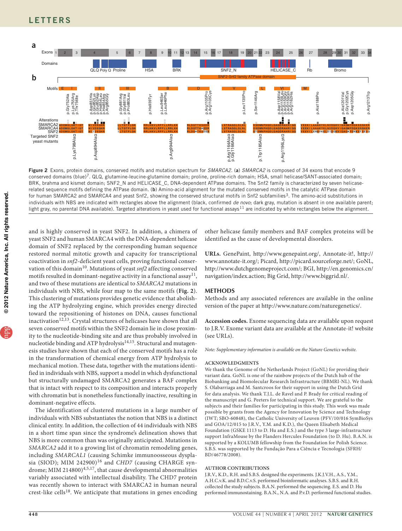

<span id="page-3-0"></span>Figure 2 Exons, protein domains, conserved motifs and mutation spectrum for *SMARCA2*. (a) *SMARCA2* is composed of 34 exons that encode 9 conserved domains (blue)<sup>7</sup>. QLQ, glutamine-leucine-glutamine domain; proline, proline-rich domain; HSA, small helicase/SANT-associated domain; BRK, brahma and kismet domain; SNF2\_N and HELICASE\_C, DNA-dependent ATPase domains. The Snf2 family is characterized by seven helicaserelated sequence motifs defining the ATPase domain. (b) Amino-acid alignment for the mutated conserved motifs in the catalytic ATPase domain for human SMARCA2 and SMARCA4 and yeast Snf2, showing the conserved structural motifs in Snf2 subfamilies<sup>3</sup>. The amino-acid substitutions in individuals with NBS are indicated with rectangles above the alignment (black, confirmed *de novo*; dark gray, mutation is absent in one available parent; light gray, no parental DNA available). Targeted alterations in yeast used for functional assays<sup>11</sup> are indicated by white rectangles below the alignment.

and is highly conserved in yeast SNF2. In addition, a chimera of yeast SNF2 and human SMARCA4 with the DNA-dependent helicase domain of SNF2 replaced by the corresponding human sequence restored normal mitotic growth and capacity for transcriptional coactivation in *snf2*-deficient yeast cells, proving functional conser-vation of this domain<sup>[10](#page-4-9)</sup>. Mutations of yeast *snf2* affecting conserved motifs resulted in dominant-negative activity in a functional assay<sup>[11](#page-4-10)</sup>, and two of these mutations are identical to *SMARCA2* mutations in individuals with NBS, while four map to the same motifs (**[Fig. 2](#page-3-0)**). This clustering of mutations provides genetic evidence that abolishing the ATP hydrolyzing engine, which provides energy directed toward the repositioning of histones on DNA, causes functional inactivation<sup>[12,](#page-4-11)[13](#page-4-12)</sup>. Crystal structures of helicases have shown that all seven conserved motifs within the SNF2 domain lie in close proximity to the nucleotide-binding site and are thus probably involved in nucleotide binding and ATP hydrolysis $14,15$  $14,15$ . Structural and mutagenesis studies have shown that each of the conserved motifs has a role in the transformation of chemical energy from ATP hydrolysis to mechanical motion. These data, together with the mutations identified in individuals with NBS, support a model in which dysfunctional but structurally undamaged SMARCA2 generates a BAF complex that is intact with respect to its composition and interacts properly with chromatin but is nonetheless functionally inactive, resulting in dominant-negative effects.

The identification of clustered mutations in a large number of individuals with NBS substantiates the notion that NBS is a distinct clinical entity. In addition, the collection of 44 individuals with NBS in a short time span since the syndrome's delineation shows that NBS is more common than was originally anticipated. Mutations in *SMARCA2* add it to a growing list of chromatin remodeling genes, including *SMARCAL1* (causing Schimke immunoosseous dysplasia (SIOD); MIM 242900)<sup>16</sup> and *CHD7* (causing CHARGE syndrome; MIM 214800) $4,5,17$  $4,5,17$  $4,5,17$ , that cause developmental abnormalities variably associated with intellectual disability. The CHD7 protein was recently shown to interact with SMARCA2 in human neural crest-like cells $18$ . We anticipate that mutations in genes encoding

other helicase family members and BAF complex proteins will be identified as the cause of developmental disorders.

**URLs.** GenePaint, <http://www.genepaint.org/>, Annotate-it!, http:// <www.annotate-it.org/>; Picard, [http://picard.sourceforge.net/;](http://picard.sourceforge.net/) GoNL, [http://www.dutchgenomeproject.com/;](http://www.dutchgenomeproject.com/) BGI, [http://en.genomics.cn/](http://en.genomics.cn/navigation/index.action) [navigation/index.action;](http://en.genomics.cn/navigation/index.action) Big Grid, [http://www.biggrid.nl/.](http://www.biggrid.nl/)

## **Methods**

Methods and any associated references are available in the online version of the paper at http://www.nature.com/naturegenetics/.

**Accession codes.** Exome sequencing data are available upon request to J.R.V. Exome variant data are available at the Annotate-it! website (see URLs).

*Note: Supplementary information is available on the Nature [Genetics](http://www.nature.com/naturegenetics/) website.*

#### **Acknowledgments**

We thank the Genome of the Netherlands Project (GoNL) for providing their variant data. GoNL is one of the rainbow projects of the Dutch hub of the Biobanking and Biomolecular Research Infrastructure (BBMRI-NL). We thank S. Olabarriaga and M. Santcroos for their support in using the Dutch Grid for data analysis. We thank T.J.L. de Ravel and P. Brady for critical reading of the manuscript and G. Peeters for technical support. We are grateful to the subjects and their families for participating in this study. This work was made possible by grants from the Agency for Innovation by Science and Technology (IWT; SBO-60848), the Catholic University of Leuven (PFV/10/016 SymBioSys and GOA/12/015 to J.R.V., Y.M. and K.D.), the Queen Elisabeth Medical Foundation (GSKE 1113 to D. Hu and E.S.) and the type 3 large-infrastructure support InfraMouse by the Flanders Hercules Foundation (to D. Hu). B.A.N. is supported by a KOLUMB fellowship from the Foundation for Polish Science. S.B.S. was supported by the Fundação Para a Ciência e Tecnologia (SFRH/ BD/46778/2008).

### **AUTHOR CONTRIBUTIONS**

J.R.V., K.D., R.H. and S.B.S. designed the experiments. J.K.J.V.H., A.S., Y.M., A.H.C.v.K. and B.D.C.v.S. performed bioinformatic analyses. S.B.S. and R.H. collected the study subjects. B.A.N. performed the sequencing. E.S. and D. Hu performed immunostaining. B.A.N., N.A. and P.v.D. performed functional studies.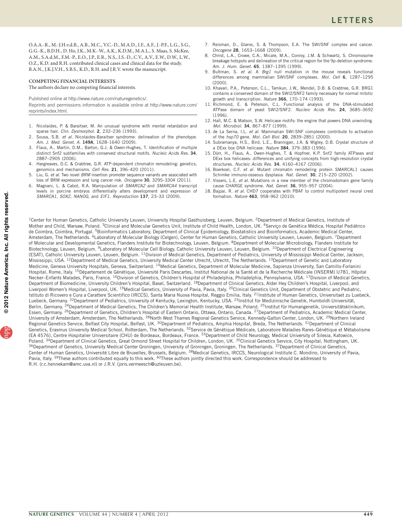O.A.A.-R., M.-J.H.v.d.B., A.B., M.C., V.C.-D., M.A.D., I.F., A.F., J.-P.F., L.G., S.G., G.G.-K., B.D.H., D. Ho, J.K., M.K.-W., A.K., K.D.M., M.A.L., S. Maas, S. McKee, A.M., S.A.d.M., F.M.-P., E.O., J.P., E.R., N.S., I.S.-D., C.V., A.V., E.W., D.W., L.W., O.Z., K.D. and R.H. contributed clinical cases and clinical data for the study. B.A.N., J.K.J.V.H., S.B.S., K.D., R.H. and J.R.V. wrote the manuscript.

## **COMPETING FINANCIAL INTERESTS**

The authors declare no competing financial interests.

Published online at [http://www.nature.com/naturegenetics/.](http://www.nature.com/naturegenetics/) Reprints and permissions information is available online at [http://www.nature.com/](http://www.nature.com/reprints/index.html) [reprints/index.html](http://www.nature.com/reprints/index.html).

- <span id="page-4-6"></span>1. Nicolaides, P. & Baraitser, M. An unusual syndrome with mental retardation and sparse hair. *Clin. Dysmorphol.* 2, 232–236 (1993).
- <span id="page-4-0"></span>2. Sousa, S.B. *et al.* Nicolaides-Baraitser syndrome: delineation of the phenotype. *Am. J. Med. Genet. A.* 149A, 1628–1640 (2009).
- <span id="page-4-1"></span>3. Flaus, A., Martin, D.M., Barton, G.J. & Owen-Hughes, T. Identification of multiple distinct Snf2 subfamilies with conserved structural motifs. *Nucleic Acids Res.* 34, 2887–2905 (2006).
- <span id="page-4-2"></span>4. Hargreaves, D.C. & Crabtree, G.R. ATP-dependent chromatin remodeling: genetics, genomics and mechanisms. *Cell Res.* 21, 396–420 (2011).
- <span id="page-4-3"></span>5. Liu, G. *et al.* Two novel *BRM* insertion promoter sequence variants are associated with loss of BRM expression and lung cancer risk. *Oncogene* 30, 3295–3304 (2011).
- <span id="page-4-4"></span>6. Magnani, L. & Cabot, R.A. Manipulation of *SMARCA2* and *SMARCA4* transcript levels in porcine embryos differentially alters development and expression of *SMARCA1*, *SOX2*, *NANOG*, and *EIF1*. *Reproduction* 137, 23–33 (2009).
- <span id="page-4-5"></span>7. Reisman, D., Glaros, S. & Thompson, E.A. The SWI/SNF complex and cancer. *Oncogene* 28, 1653–1668 (2009).
- <span id="page-4-7"></span>8. Christ, L.A., Crowe, C.A., Micale, M.A., Conroy, J.M. & Schwartz, S. Chromosome breakage hotspots and delineation of the critical region for the 9p-deletion syndrome. *Am. J. Hum. Genet.* 65, 1387–1395 (1999).
- <span id="page-4-8"></span>9. Bultman, S. *et al.* A *Brg1* null mutation in the mouse reveals functional differences among mammalian SWI/SNF complexes. *Mol. Cell* 6, 1287–1295 (2000).
- <span id="page-4-9"></span>10. Khavari, P.A., Peterson, C.L., Tamkun, J.W., Mendel, D.B. & Crabtree, G.R. BRG1 contains a conserved domain of the SWI2/SNF2 family necessary for normal mitotic growth and transcription. *Nature* 366, 170–174 (1993).
- <span id="page-4-10"></span>11. Richmond, E. & Peterson, C.L. Functional analysis of the DNA-stimulated ATPase domain of yeast SWI2/SNF2. *Nucleic Acids Res.* 24, 3685–3692 (1996).
- <span id="page-4-11"></span>12. Hall, M.C. & Matson, S.W. Helicase motifs: the engine that powers DNA unwinding. *Mol. Microbiol.* 34, 867–877 (1999).
- <span id="page-4-12"></span>13. de La Serna, I.L. *et al.* Mammalian SWI-SNF complexes contribute to activation of the *hsp70* gene. *Mol. Cell Biol.* 20, 2839–2851 (2000).
- <span id="page-4-13"></span>14. Subramanya, H.S., Bird, L.E., Brannigan, J.A. & Wigley, D.B. Crystal structure of a DExx box DNA helicase. *Nature* 384, 379–383 (1996).
- <span id="page-4-14"></span>15. Dürr, H., Flaus, A., Owen-Hughes, T. & Hopfner, K.P. Snf2 family ATPases and DExx box helicases: differences and unifying concepts from high-resolution crystal structures. *Nucleic Acids Res.* 34, 4160–4167 (2006).
- <span id="page-4-15"></span>16. Boerkoel, C.F. *et al.* Mutant chromatin remodeling protein SMARCAL1 causes Schimke immuno-osseous dysplasia. *Nat. Genet.* 30, 215–220 (2002).
- <span id="page-4-16"></span>17. Vissers, L.E. *et al.* Mutations in a new member of the chromodomain gene family cause CHARGE syndrome. *Nat. Genet.* 36, 955–957 (2004).
- <span id="page-4-17"></span>18. Bajpai, R. *et al.* CHD7 cooperates with PBAF to control multipotent neural crest formation. *Nature* 463, 958–962 (2010).

<sup>1</sup>Center for Human Genetics, Catholic University Leuven, University Hospital Gasthuisberg, Leuven, Belgium. <sup>2</sup>Department of Medical Genetics, Institute of Mother and Child, Warsaw, Poland. <sup>3</sup>Clinical and Molecular Genetics Unit, Institute of Child Health, London, UK. <sup>4</sup>Serviço de Genética Médica, Hospital Pediátrico de Coimbra, Coimbra, Portugal. <sup>5</sup>Bioinformatics Laboratory, Department of Clinical Epidemiology, Biostatistics and Bioinformatics, Academic Medical Center, Amsterdam, The Netherlands. <sup>6</sup>Laboratory of Molecular Biology (Celgen), Center for Human Genetics, Catholic University Leuven, Leuven, Belgium. <sup>7</sup>Department of Molecular and Developmental Genetics, Flanders Institute for Biotechnology, Leuven, Belgium. 8Department of Molecular Microbiology, Flanders Institute for Biotechnology, Leuven, Belgium. 9Laboratory of Molecular Cell Biology, Catholic University Leuven, Leuven, Belgium. 10Department of Electrical Engineering (ESAT), Catholic University Leuven, Leuven, Belgium. 11Division of Medical Genetics, Department of Pediatrics, University of Mississippi Medical Center, Jackson, Mississippi, USA. <sup>12</sup>Department of Medical Genetics, University Medical Center Utrecht, Utrecht, The Netherlands. <sup>13</sup>Department of Genetic and Laboratory Medicine, Geneva University Hospitals, Geneva, Switzerland. <sup>14</sup>Medical Genetics, Department of Molecular Medicine, Sapienza University, San Camillo-Forlanini Hospital, Rome, Italy. 15Département de Génétique, Université Paris Descartes, Institut National de la Santé et de la Recherche Médicale (INSERM) U781, Hôpital Necker–Enfants Malades, Paris, France. <sup>16</sup>Division of Genetics, Children's Hospital of Philadelphia, Philadelphia, Pennsylvania, USA. <sup>17</sup>Division of Medical Genetics, Department of Biomedicine, University Children's Hospital, Basel, Switzerland. <sup>18</sup>Department of Clinical Genetics, Alder Hey Children's Hospital, Liverpool, and Liverpool Women's Hospital, Liverpool, UK. <sup>19</sup>Medical Genetics, University of Pavia, Pavia, Italy. <sup>20</sup>Clinical Genetics Unit, Department of Obstetric and Pediatric, Istituto di Ricovero e Cura a Carattere Scientifico (IRCCS), Santa Maria Nuova Hospital, Reggio Emilia, Italy. <sup>21</sup>Institute of Human Genetics, Universitaet zu Luebeck, Luebeck, Germany. <sup>22</sup>Department of Pediatrics, University of Kentucky, Lexington, Kentucky, USA. <sup>23</sup>Institut für Medizinische Genetik, Humboldt-Universität, Berlin, Germany. <sup>24</sup>Department of Medical Genetics, The Children's Memorial Health Institute, Warsaw, Poland. <sup>25</sup>Institut für Humangenetik, Universitätsklinikum, Essen, Germany. <sup>26</sup>Department of Genetics, Children's Hospital of Eastern Ontario, Ottawa, Ontario, Canada. <sup>27</sup>Department of Pediatrics, Academic Medical Center, University of Amsterdam, Amsterdam, The Netherlands. <sup>28</sup>North West Thames Regional Genetics Service, Kennedy-Galton Center, London, UK. <sup>29</sup>Northern Ireland Regional Genetics Service, Belfast City Hospital, Belfast, UK. <sup>30</sup>Department of Pediatrics, Amphia Hospital, Breda, The Netherlands. <sup>31</sup>Department of Clinical Genetics, Erasmus University Medical School, Rotterdam, The Netherlands. <sup>32</sup>Service de Génétique Médicale, Laboratoire Maladies Rares-Génétique et Métabolisme (EA 4576), Centre Hospitalier Universitaire (CHU) de Bordeaux, Bordeaux, France. <sup>33</sup>Department of Child Neurology, Medical University of Silesia, Katowice, Poland. <sup>34</sup>Department of Clinical Genetics, Great Ormond Street Hospital for Children, London, UK. <sup>35</sup>Clinical Genetics Service, City Hospital, Nottingham, UK.<br><sup>36</sup>Department of Genetics, University Medical Center Gronin Center of Human Genetics, Université Libre de Bruxelles, Brussels, Belgium. <sup>38</sup>Medical Genetics, IRCCS, Neurological Institute C. Mondino, University of Pavia, Pavia, Italy. <sup>39</sup>These authors contributed equally to this work. <sup>40</sup>These authors jointly directed this work. Correspondence should be addressed to R.H. (r.c.hennekam@amc.uva.nl) or J.R.V. (joris.vermeesch@uzleuven.be).